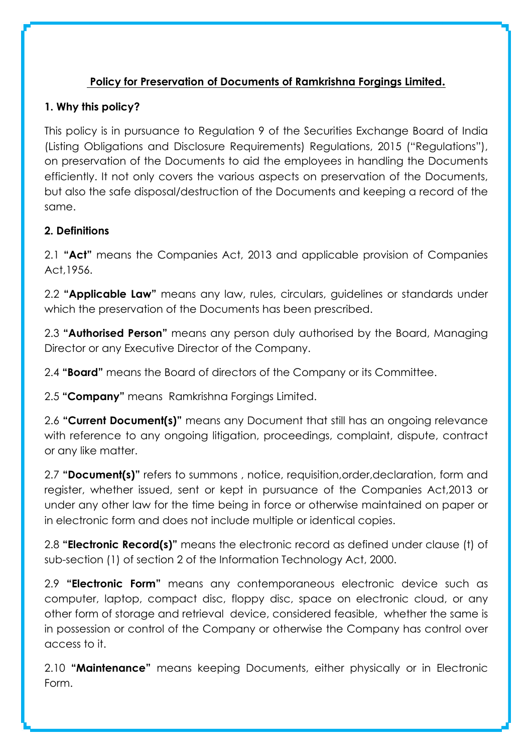# **Policy for Preservation of Documents of Ramkrishna Forgings Limited.**

## **1. Why this policy?**

This policy is in pursuance to Regulation 9 of the Securities Exchange Board of India (Listing Obligations and Disclosure Requirements) Regulations, 2015 ("Regulations"), on preservation of the Documents to aid the employees in handling the Documents efficiently. It not only covers the various aspects on preservation of the Documents, but also the safe disposal/destruction of the Documents and keeping a record of the same.

## **2. Definitions**

2.1 **"Act"** means the Companies Act, 2013 and applicable provision of Companies Act,1956.

2.2 **"Applicable Law"** means any law, rules, circulars, guidelines or standards under which the preservation of the Documents has been prescribed.

2.3 **"Authorised Person"** means any person duly authorised by the Board, Managing Director or any Executive Director of the Company.

2.4 **"Board"** means the Board of directors of the Company or its Committee.

2.5 **"Company"** means Ramkrishna Forgings Limited.

2.6 **"Current Document(s)"** means any Document that still has an ongoing relevance with reference to any ongoing litigation, proceedings, complaint, dispute, contract or any like matter.

2.7 **"Document(s)"** refers to summons , notice, requisition,order,declaration, form and register, whether issued, sent or kept in pursuance of the Companies Act,2013 or under any other law for the time being in force or otherwise maintained on paper or in electronic form and does not include multiple or identical copies.

2.8 **"Electronic Record(s)"** means the electronic record as defined under clause (t) of sub-section (1) of section 2 of the Information Technology Act, 2000.

2.9 **"Electronic Form"** means any contemporaneous electronic device such as computer, laptop, compact disc, floppy disc, space on electronic cloud, or any other form of storage and retrieval device, considered feasible, whether the same is in possession or control of the Company or otherwise the Company has control over access to it.

2.10 **"Maintenance"** means keeping Documents, either physically or in Electronic Form.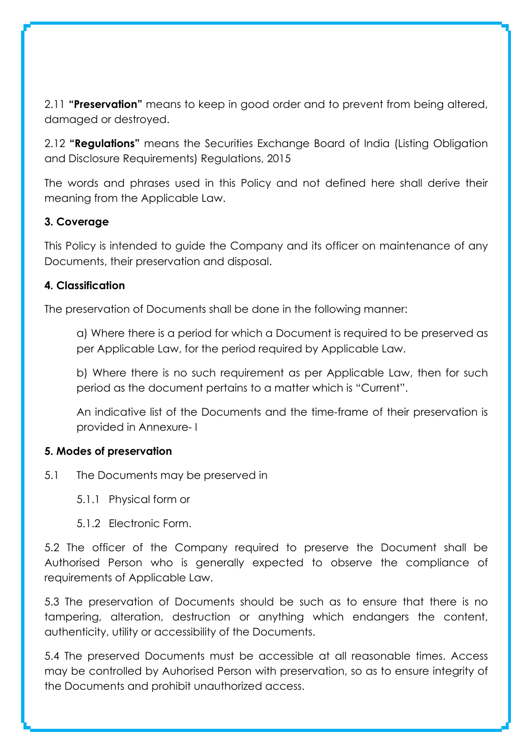2.11 **"Preservation"** means to keep in good order and to prevent from being altered, damaged or destroyed.

2.12 **"Regulations"** means the Securities Exchange Board of India (Listing Obligation and Disclosure Requirements) Regulations, 2015

The words and phrases used in this Policy and not defined here shall derive their meaning from the Applicable Law.

## **3. Coverage**

This Policy is intended to guide the Company and its officer on maintenance of any Documents, their preservation and disposal.

#### **4. Classification**

The preservation of Documents shall be done in the following manner:

a) Where there is a period for which a Document is required to be preserved as per Applicable Law, for the period required by Applicable Law.

b) Where there is no such requirement as per Applicable Law, then for such period as the document pertains to a matter which is "Current".

An indicative list of the Documents and the time-frame of their preservation is provided in Annexure- I

#### **5. Modes of preservation**

5.1 The Documents may be preserved in

5.1.1 Physical form or

5.1.2 Electronic Form.

5.2 The officer of the Company required to preserve the Document shall be Authorised Person who is generally expected to observe the compliance of requirements of Applicable Law.

5.3 The preservation of Documents should be such as to ensure that there is no tampering, alteration, destruction or anything which endangers the content, authenticity, utility or accessibility of the Documents.

5.4 The preserved Documents must be accessible at all reasonable times. Access may be controlled by Auhorised Person with preservation, so as to ensure integrity of the Documents and prohibit unauthorized access.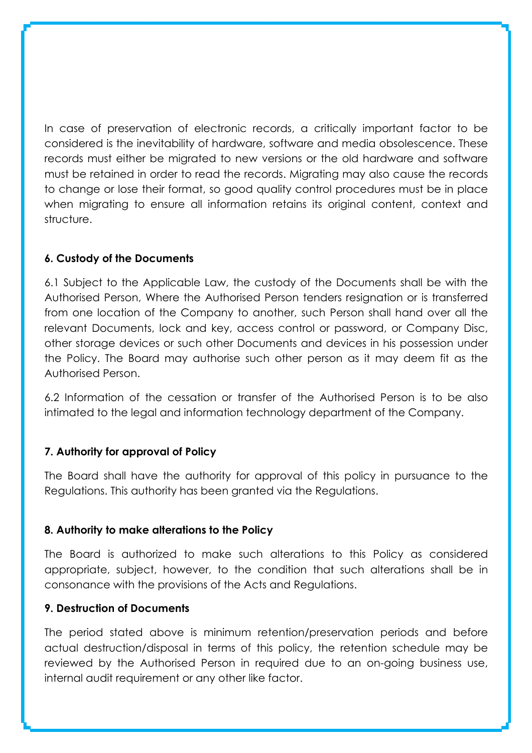In case of preservation of electronic records, a critically important factor to be considered is the inevitability of hardware, software and media obsolescence. These records must either be migrated to new versions or the old hardware and software must be retained in order to read the records. Migrating may also cause the records to change or lose their format, so good quality control procedures must be in place when migrating to ensure all information retains its original content, context and structure.

### **6. Custody of the Documents**

6.1 Subject to the Applicable Law, the custody of the Documents shall be with the Authorised Person, Where the Authorised Person tenders resignation or is transferred from one location of the Company to another, such Person shall hand over all the relevant Documents, lock and key, access control or password, or Company Disc, other storage devices or such other Documents and devices in his possession under the Policy. The Board may authorise such other person as it may deem fit as the Authorised Person.

6.2 Information of the cessation or transfer of the Authorised Person is to be also intimated to the legal and information technology department of the Company.

#### **7. Authority for approval of Policy**

The Board shall have the authority for approval of this policy in pursuance to the Regulations. This authority has been granted via the Regulations.

#### **8. Authority to make alterations to the Policy**

The Board is authorized to make such alterations to this Policy as considered appropriate, subject, however, to the condition that such alterations shall be in consonance with the provisions of the Acts and Regulations.

#### **9. Destruction of Documents**

The period stated above is minimum retention/preservation periods and before actual destruction/disposal in terms of this policy, the retention schedule may be reviewed by the Authorised Person in required due to an on-going business use, internal audit requirement or any other like factor.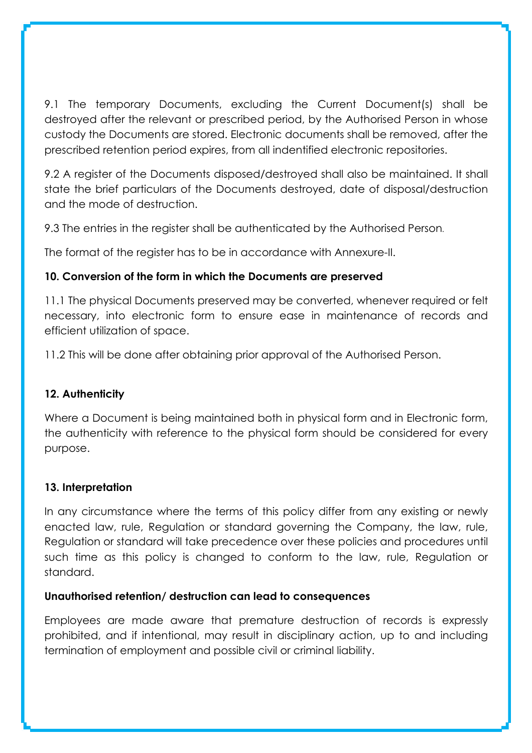9.1 The temporary Documents, excluding the Current Document(s) shall be destroyed after the relevant or prescribed period, by the Authorised Person in whose custody the Documents are stored. Electronic documents shall be removed, after the prescribed retention period expires, from all indentified electronic repositories.

9.2 A register of the Documents disposed/destroyed shall also be maintained. It shall state the brief particulars of the Documents destroyed, date of disposal/destruction and the mode of destruction.

9.3 The entries in the register shall be authenticated by the Authorised Person.

The format of the register has to be in accordance with Annexure-II.

## **10. Conversion of the form in which the Documents are preserved**

11.1 The physical Documents preserved may be converted, whenever required or felt necessary, into electronic form to ensure ease in maintenance of records and efficient utilization of space.

11.2 This will be done after obtaining prior approval of the Authorised Person.

## **12. Authenticity**

Where a Document is being maintained both in physical form and in Electronic form, the authenticity with reference to the physical form should be considered for every purpose.

## **13. Interpretation**

In any circumstance where the terms of this policy differ from any existing or newly enacted law, rule, Regulation or standard governing the Company, the law, rule, Regulation or standard will take precedence over these policies and procedures until such time as this policy is changed to conform to the law, rule, Regulation or standard.

## **Unauthorised retention/ destruction can lead to consequences**

Employees are made aware that premature destruction of records is expressly prohibited, and if intentional, may result in disciplinary action, up to and including termination of employment and possible civil or criminal liability.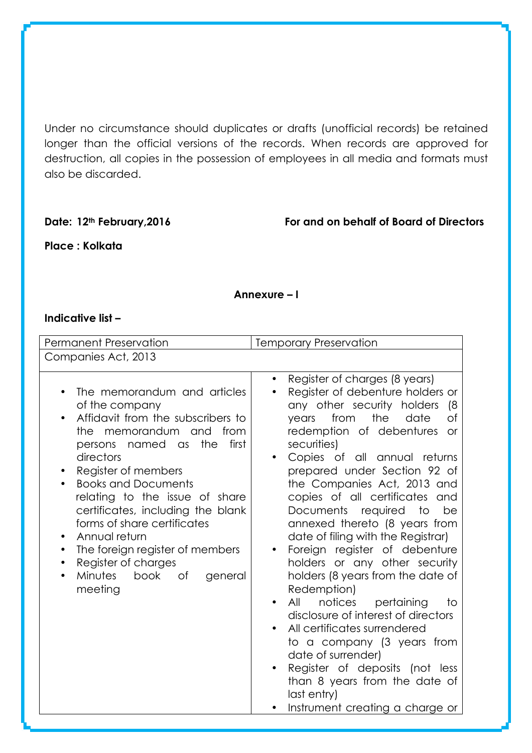Under no circumstance should duplicates or drafts (unofficial records) be retained longer than the official versions of the records. When records are approved for destruction, all copies in the possession of employees in all media and formats must also be discarded.

**Date: 12th February,2016 For and on behalf of Board of Directors**

**Place : Kolkata** 

#### **Annexure – I**

#### **Indicative list –**

| <b>Permanent Preservation</b>                                                                                                                                                                                                                                                                                                                                                                                                                                       | <b>Temporary Preservation</b>                                                                                                                                                                                                                                                                                                                                                                                                                                                                                                                                                                                                                                                                                                                                                                                                                                    |  |  |  |  |
|---------------------------------------------------------------------------------------------------------------------------------------------------------------------------------------------------------------------------------------------------------------------------------------------------------------------------------------------------------------------------------------------------------------------------------------------------------------------|------------------------------------------------------------------------------------------------------------------------------------------------------------------------------------------------------------------------------------------------------------------------------------------------------------------------------------------------------------------------------------------------------------------------------------------------------------------------------------------------------------------------------------------------------------------------------------------------------------------------------------------------------------------------------------------------------------------------------------------------------------------------------------------------------------------------------------------------------------------|--|--|--|--|
| Companies Act, 2013                                                                                                                                                                                                                                                                                                                                                                                                                                                 |                                                                                                                                                                                                                                                                                                                                                                                                                                                                                                                                                                                                                                                                                                                                                                                                                                                                  |  |  |  |  |
| The memorandum and articles<br>of the company<br>Affidavit from the subscribers to<br>memorandum and<br>from<br>the<br>first<br>persons named as<br>the<br>directors<br>Register of members<br><b>Books and Documents</b><br>relating to the issue of share<br>certificates, including the blank<br>forms of share certificates<br>Annual return<br>٠<br>The foreign register of members<br>٠<br>Register of charges<br>Minutes<br>book<br>Оf<br>general<br>meeting | Register of charges (8 years)<br>Register of debenture holders or<br>any other security holders<br>(8<br>the<br>from<br>date<br>$\circ$ f<br>years<br>redemption of debentures<br><b>or</b><br>securities)<br>Copies of all annual returns<br>prepared under Section 92 of<br>the Companies Act, 2013 and<br>copies of all certificates and<br>Documents required<br>to<br>be<br>annexed thereto (8 years from<br>date of filing with the Registrar)<br>Foreign register of debenture<br>holders or any other security<br>holders (8 years from the date of<br>Redemption)<br>All<br>notices<br>pertaining<br>to<br>disclosure of interest of directors<br>All certificates surrendered<br>to a company (3 years from<br>date of surrender)<br>Register of deposits (not less<br>than 8 years from the date of<br>last entry)<br>Instrument creating a charge or |  |  |  |  |